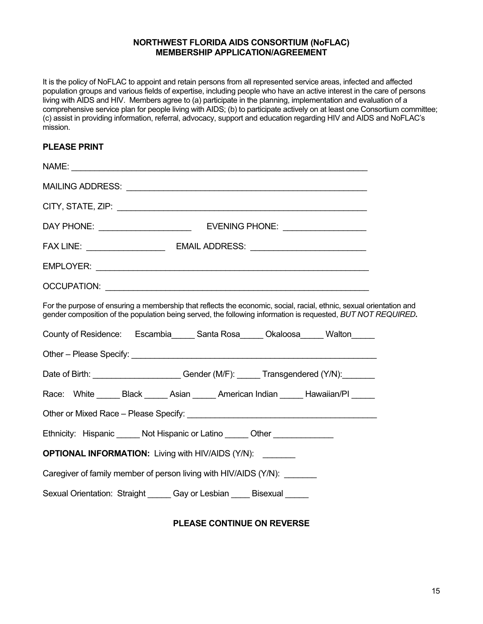### **NORTHWEST FLORIDA AIDS CONSORTIUM (NoFLAC) MEMBERSHIP APPLICATION/AGREEMENT**

It is the policy of NoFLAC to appoint and retain persons from all represented service areas, infected and affected population groups and various fields of expertise, including people who have an active interest in the care of persons living with AIDS and HIV. Members agree to (a) participate in the planning, implementation and evaluation of a comprehensive service plan for people living with AIDS; (b) to participate actively on at least one Consortium committee; (c) assist in providing information, referral, advocacy, support and education regarding HIV and AIDS and NoFLAC's mission.

# **PLEASE PRINT**

| For the purpose of ensuring a membership that reflects the economic, social, racial, ethnic, sexual orientation and<br>gender composition of the population being served, the following information is requested, BUT NOT REQUIRED. |  |
|-------------------------------------------------------------------------------------------------------------------------------------------------------------------------------------------------------------------------------------|--|
| County of Residence: Escambia _____ Santa Rosa _____ Okaloosa _____ Walton _____                                                                                                                                                    |  |
|                                                                                                                                                                                                                                     |  |
| Date of Birth: ________________________Gender (M/F): ______ Transgendered (Y/N): _______                                                                                                                                            |  |
| Race: White ______ Black ______ Asian ______ American Indian ______ Hawaiian/PI _____                                                                                                                                               |  |
|                                                                                                                                                                                                                                     |  |
| Ethnicity: Hispanic ______ Not Hispanic or Latino ______ Other ________________                                                                                                                                                     |  |
| <b>OPTIONAL INFORMATION:</b> Living with HIV/AIDS (Y/N):                                                                                                                                                                            |  |
| Caregiver of family member of person living with HIV/AIDS (Y/N):                                                                                                                                                                    |  |
| Sexual Orientation: Straight ______ Gay or Lesbian _____ Bisexual _____                                                                                                                                                             |  |

# **PLEASE CONTINUE ON REVERSE**